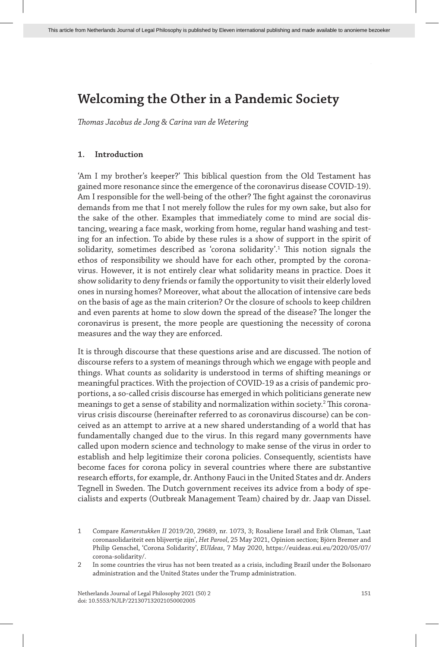*Thomas Jacobus de Jong & Carina van de Wetering*

## **1. Introduction**

'Am I my brother's keeper?' This biblical question from the Old Testament has gained more resonance since the emergence of the coronavirus disease COVID-19). Am I responsible for the well-being of the other? The fight against the coronavirus demands from me that I not merely follow the rules for my own sake, but also for the sake of the other. Examples that immediately come to mind are social distancing, wearing a face mask, working from home, regular hand washing and testing for an infection. To abide by these rules is a show of support in the spirit of solidarity, sometimes described as 'corona solidarity'.<sup>1</sup> This notion signals the ethos of responsibility we should have for each other, prompted by the coronavirus. However, it is not entirely clear what solidarity means in practice. Does it show solidarity to deny friends or family the opportunity to visit their elderly loved ones in nursing homes? Moreover, what about the allocation of intensive care beds on the basis of age as the main criterion? Or the closure of schools to keep children and even parents at home to slow down the spread of the disease? The longer the coronavirus is present, the more people are questioning the necessity of corona measures and the way they are enforced.

It is through discourse that these questions arise and are discussed. The notion of discourse refers to a system of meanings through which we engage with people and things. What counts as solidarity is understood in terms of shifting meanings or meaningful practices. With the projection of COVID-19 as a crisis of pandemic proportions, a so-called crisis discourse has emerged in which politicians generate new meanings to get a sense of stability and normalization within society.<sup>2</sup> This coronavirus crisis discourse (hereinafter referred to as coronavirus discourse) can be conceived as an attempt to arrive at a new shared understanding of a world that has fundamentally changed due to the virus. In this regard many governments have called upon modern science and technology to make sense of the virus in order to establish and help legitimize their corona policies. Consequently, scientists have become faces for corona policy in several countries where there are substantive research efforts, for example, dr. Anthony Fauci in the United States and dr. Anders Tegnell in Sweden. The Dutch government receives its advice from a body of specialists and experts (Outbreak Management Team) chaired by dr. Jaap van Dissel.

<sup>1</sup> Compare *Kamerstukken II* 2019/20, 29689, nr. 1073, 3; Rosaliene Israël and Erik Olsman, 'Laat coronasolidariteit een blijvertje zijn', *Het Parool*, 25 May 2021, Opinion section; Björn Bremer and Philip Genschel, 'Corona Solidarity', *EUIdeas*, 7 May 2020, https://euideas.eui.eu/2020/05/07/ corona-solidarity/.

<sup>2</sup> In some countries the virus has not been treated as a crisis, including Brazil under the Bolsonaro administration and the United States under the Trump administration.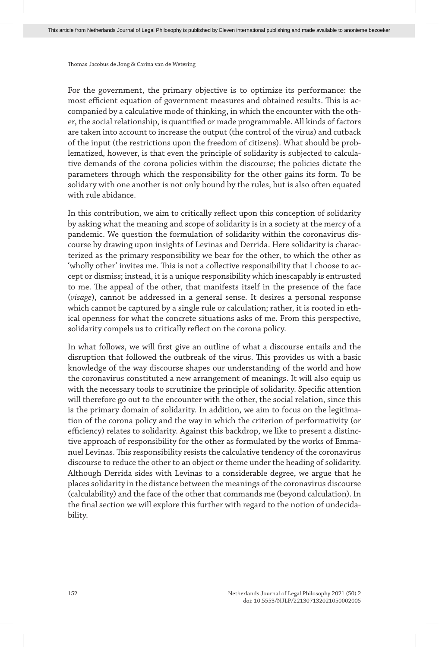For the government, the primary objective is to optimize its performance: the most efficient equation of government measures and obtained results. This is accompanied by a calculative mode of thinking, in which the encounter with the other, the social relationship, is quantified or made programmable. All kinds of factors are taken into account to increase the output (the control of the virus) and cutback of the input (the restrictions upon the freedom of citizens). What should be problematized, however, is that even the principle of solidarity is subjected to calculative demands of the corona policies within the discourse; the policies dictate the parameters through which the responsibility for the other gains its form. To be solidary with one another is not only bound by the rules, but is also often equated with rule abidance.

In this contribution, we aim to critically reflect upon this conception of solidarity by asking what the meaning and scope of solidarity is in a society at the mercy of a pandemic. We question the formulation of solidarity within the coronavirus discourse by drawing upon insights of Levinas and Derrida. Here solidarity is characterized as the primary responsibility we bear for the other, to which the other as 'wholly other' invites me. This is not a collective responsibility that I choose to accept or dismiss; instead, it is a unique responsibility which inescapably is entrusted to me. The appeal of the other, that manifests itself in the presence of the face (*visage*), cannot be addressed in a general sense. It desires a personal response which cannot be captured by a single rule or calculation; rather, it is rooted in ethical openness for what the concrete situations asks of me. From this perspective, solidarity compels us to critically reflect on the corona policy.

In what follows, we will first give an outline of what a discourse entails and the disruption that followed the outbreak of the virus. This provides us with a basic knowledge of the way discourse shapes our understanding of the world and how the coronavirus constituted a new arrangement of meanings. It will also equip us with the necessary tools to scrutinize the principle of solidarity. Specific attention will therefore go out to the encounter with the other, the social relation, since this is the primary domain of solidarity. In addition, we aim to focus on the legitimation of the corona policy and the way in which the criterion of performativity (or efficiency) relates to solidarity. Against this backdrop, we like to present a distinctive approach of responsibility for the other as formulated by the works of Emmanuel Levinas. This responsibility resists the calculative tendency of the coronavirus discourse to reduce the other to an object or theme under the heading of solidarity. Although Derrida sides with Levinas to a considerable degree, we argue that he places solidarity in the distance between the meanings of the coronavirus discourse (calculability) and the face of the other that commands me (beyond calculation). In the final section we will explore this further with regard to the notion of undecidability.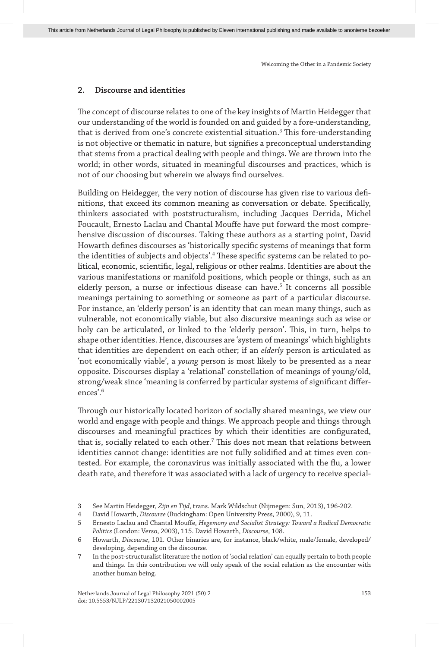## **2. Discourse and identities**

The concept of discourse relates to one of the key insights of Martin Heidegger that our understanding of the world is founded on and guided by a fore-understanding, that is derived from one's concrete existential situation.<sup>3</sup> This fore-understanding is not objective or thematic in nature, but signifies a preconceptual understanding that stems from a practical dealing with people and things. We are thrown into the world; in other words, situated in meaningful discourses and practices, which is not of our choosing but wherein we always find ourselves.

Building on Heidegger, the very notion of discourse has given rise to various definitions, that exceed its common meaning as conversation or debate. Specifically, thinkers associated with poststructuralism, including Jacques Derrida, Michel Foucault, Ernesto Laclau and Chantal Mouffe have put forward the most comprehensive discussion of discourses. Taking these authors as a starting point, David Howarth defines discourses as 'historically specific systems of meanings that form the identities of subjects and objects'.4 These specific systems can be related to political, economic, scientific, legal, religious or other realms. Identities are about the various manifestations or manifold positions, which people or things, such as an elderly person, a nurse or infectious disease can have.<sup>5</sup> It concerns all possible meanings pertaining to something or someone as part of a particular discourse. For instance, an 'elderly person' is an identity that can mean many things, such as vulnerable, not economically viable, but also discursive meanings such as wise or holy can be articulated, or linked to the 'elderly person'. This, in turn, helps to shape other identities. Hence, discourses are 'system of meanings' which highlights that identities are dependent on each other; if an *elderly* person is articulated as 'not economically viable', a *young* person is most likely to be presented as a near opposite. Discourses display a 'relational' constellation of meanings of young/old, strong/weak since 'meaning is conferred by particular systems of significant differences'.6

Through our historically located horizon of socially shared meanings, we view our world and engage with people and things. We approach people and things through discourses and meaningful practices by which their identities are configurated, that is, socially related to each other. $^7$  This does not mean that relations between identities cannot change: identities are not fully solidified and at times even contested. For example, the coronavirus was initially associated with the flu, a lower death rate, and therefore it was associated with a lack of urgency to receive special-

<sup>3</sup> See Martin Heidegger, *Zijn en Tijd*, trans. Mark Wildschut (Nijmegen: Sun, 2013), 196-202.

<sup>4</sup> David Howarth, *Discourse* (Buckingham: Open University Press, 2000), 9, 11.

<sup>5</sup> Ernesto Laclau and Chantal Mouffe, *Hegemony and Socialist Strategy: Toward a Radical Democratic Politics* (London: Verso, 2003), 115. David Howarth, *Discourse*, 108.

<sup>6</sup> Howarth, *Discourse*, 101. Other binaries are, for instance, black/white, male/female, developed/ developing, depending on the discourse.

<sup>7</sup> In the post-structuralist literature the notion of 'social relation' can equally pertain to both people and things. In this contribution we will only speak of the social relation as the encounter with another human being.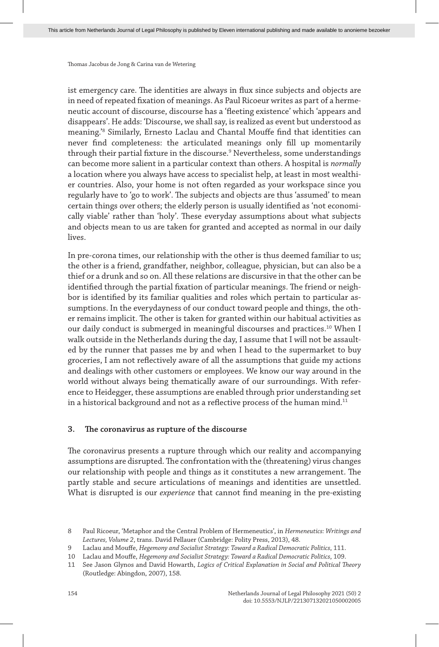ist emergency care. The identities are always in flux since subjects and objects are in need of repeated fixation of meanings. As Paul Ricoeur writes as part of a hermeneutic account of discourse, discourse has a 'fleeting existence' which 'appears and disappears'. He adds: 'Discourse, we shall say, is realized as event but understood as meaning.'8 Similarly, Ernesto Laclau and Chantal Mouffe find that identities can never find completeness: the articulated meanings only fill up momentarily through their partial fixture in the discourse.<sup>9</sup> Nevertheless, some understandings can become more salient in a particular context than others. A hospital is *normally* a location where you always have access to specialist help, at least in most wealthier countries. Also, your home is not often regarded as your workspace since you regularly have to 'go to work'. The subjects and objects are thus 'assumed' to mean certain things over others; the elderly person is usually identified as 'not economically viable' rather than 'holy'. These everyday assumptions about what subjects and objects mean to us are taken for granted and accepted as normal in our daily lives.

In pre-corona times, our relationship with the other is thus deemed familiar to us; the other is a friend, grandfather, neighbor, colleague, physician, but can also be a thief or a drunk and so on. All these relations are discursive in that the other can be identified through the partial fixation of particular meanings. The friend or neighbor is identified by its familiar qualities and roles which pertain to particular assumptions. In the everydayness of our conduct toward people and things, the other remains implicit. The other is taken for granted within our habitual activities as our daily conduct is submerged in meaningful discourses and practices.<sup>10</sup> When I walk outside in the Netherlands during the day, I assume that I will not be assaulted by the runner that passes me by and when I head to the supermarket to buy groceries, I am not reflectively aware of all the assumptions that guide my actions and dealings with other customers or employees. We know our way around in the world without always being thematically aware of our surroundings. With reference to Heidegger, these assumptions are enabled through prior understanding set in a historical background and not as a reflective process of the human mind. $11$ 

#### **3. The coronavirus as rupture of the discourse**

The coronavirus presents a rupture through which our reality and accompanying assumptions are disrupted. The confrontation with the (threatening) virus changes our relationship with people and things as it constitutes a new arrangement. The partly stable and secure articulations of meanings and identities are unsettled. What is disrupted is our *experience* that cannot find meaning in the pre-existing

<sup>8</sup> Paul Ricoeur, 'Metaphor and the Central Problem of Hermeneutics', in *Hermeneutics: Writings and Lectures, Volume 2*, trans. David Pellauer (Cambridge: Polity Press, 2013), 48.

<sup>9</sup> Laclau and Mouffe, *Hegemony and Socialist Strategy: Toward a Radical Democratic Politics*, 111.

<sup>10</sup> Laclau and Mouffe, *Hegemony and Socialist Strategy: Toward a Radical Democratic Politics*, 109.

<sup>11</sup> See Jason Glynos and David Howarth, *Logics of Critical Explanation in Social and Political Theory* (Routledge: Abingdon, 2007), 158.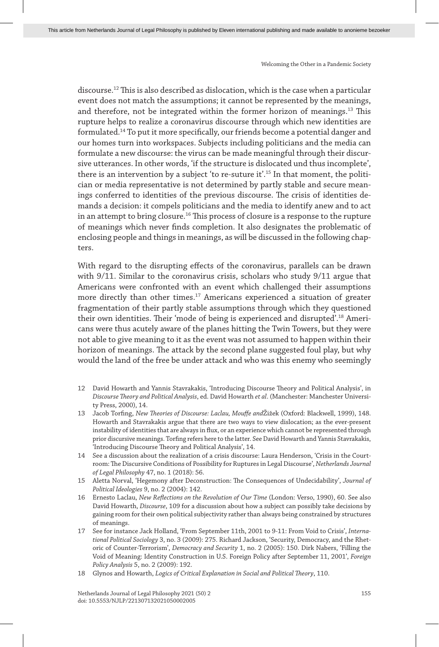discourse.12 This is also described as dislocation, which is the case when a particular event does not match the assumptions; it cannot be represented by the meanings, and therefore, not be integrated within the former horizon of meanings.13 This rupture helps to realize a coronavirus discourse through which new identities are formulated.14 To put it more specifically, our friends become a potential danger and our homes turn into workspaces. Subjects including politicians and the media can formulate a new discourse: the virus can be made meaningful through their discursive utterances. In other words, 'if the structure is dislocated und thus incomplete', there is an intervention by a subject 'to re-suture it'.<sup>15</sup> In that moment, the politician or media representative is not determined by partly stable and secure meanings conferred to identities of the previous discourse. The crisis of identities demands a decision: it compels politicians and the media to identify anew and to act in an attempt to bring closure.<sup>16</sup> This process of closure is a response to the rupture of meanings which never finds completion. It also designates the problematic of enclosing people and things in meanings, as will be discussed in the following chapters.

With regard to the disrupting effects of the coronavirus, parallels can be drawn with 9/11. Similar to the coronavirus crisis, scholars who study 9/11 argue that Americans were confronted with an event which challenged their assumptions more directly than other times.<sup>17</sup> Americans experienced a situation of greater fragmentation of their partly stable assumptions through which they questioned their own identities. Their 'mode of being is experienced and disrupted'.18 Americans were thus acutely aware of the planes hitting the Twin Towers, but they were not able to give meaning to it as the event was not assumed to happen within their horizon of meanings. The attack by the second plane suggested foul play, but why would the land of the free be under attack and who was this enemy who seemingly

- 12 David Howarth and Yannis Stavrakakis, 'Introducing Discourse Theory and Political Analysis', in *Discourse Theory and Political Analysis*, ed. David Howarth *et al*. (Manchester: Manchester University Press, 2000), 14.
- 13 Jacob Torfing, *New Theories of Discourse: Laclau, Mouffe and*Žižek (Oxford: Blackwell, 1999), 148. Howarth and Stavrakakis argue that there are two ways to view dislocation; as the ever-present instability of identities that are always in flux, or an experience which cannot be represented through prior discursive meanings. Torfing refers here to the latter. See David Howarth and Yannis Stavrakakis, 'Introducing Discourse Theory and Political Analysis', 14.
- 14 See a discussion about the realization of a crisis discourse: Laura Henderson, 'Crisis in the Courtroom: The Discursive Conditions of Possibility for Ruptures in Legal Discourse', *Netherlands Journal of Legal Philosophy* 47, no. 1 (2018): 56.
- 15 Aletta Norval, 'Hegemony after Deconstruction: The Consequences of Undecidability', *Journal of Political Ideologies* 9, no. 2 (2004): 142.
- 16 Ernesto Laclau, *New Reflections on the Revolution of Our Time* (London: Verso, 1990), 60. See also David Howarth, *Discourse*, 109 for a discussion about how a subject can possibly take decisions by gaining room for their own political subjectivity rather than always being constrained by structures of meanings.
- 17 See for instance Jack Holland, 'From September 11th, 2001 to 9-11: From Void to Crisis', *International Political Sociology* 3, no. 3 (2009): 275. Richard Jackson, 'Security, Democracy, and the Rhetoric of Counter-Terrorism', *Democracy and Security* 1, no. 2 (2005): 150. Dirk Nabers, 'Filling the Void of Meaning: Identity Construction in U.S. Foreign Policy after September 11, 2001', *Foreign Policy Analysis* 5, no. 2 (2009): 192.
- 18 Glynos and Howarth, *Logics of Critical Explanation in Social and Political Theory*, 110.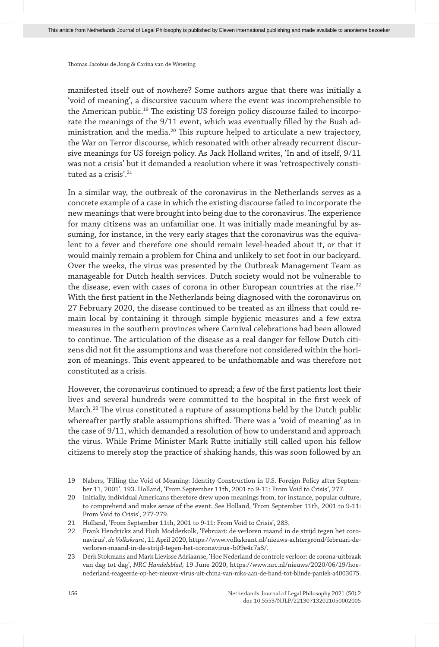manifested itself out of nowhere? Some authors argue that there was initially a 'void of meaning', a discursive vacuum where the event was incomprehensible to the American public.<sup>19</sup> The existing US foreign policy discourse failed to incorporate the meanings of the 9/11 event, which was eventually filled by the Bush administration and the media. $^{20}$  This rupture helped to articulate a new trajectory, the War on Terror discourse, which resonated with other already recurrent discursive meanings for US foreign policy. As Jack Holland writes, 'In and of itself, 9/11 was not a crisis' but it demanded a resolution where it was 'retrospectively constituted as a crisis'<sup>21</sup>

In a similar way, the outbreak of the coronavirus in the Netherlands serves as a concrete example of a case in which the existing discourse failed to incorporate the new meanings that were brought into being due to the coronavirus. The experience for many citizens was an unfamiliar one. It was initially made meaningful by assuming, for instance, in the very early stages that the coronavirus was the equivalent to a fever and therefore one should remain level-headed about it, or that it would mainly remain a problem for China and unlikely to set foot in our backyard. Over the weeks, the virus was presented by the Outbreak Management Team as manageable for Dutch health services. Dutch society would not be vulnerable to the disease, even with cases of corona in other European countries at the rise.<sup>22</sup> With the first patient in the Netherlands being diagnosed with the coronavirus on 27 February 2020, the disease continued to be treated as an illness that could remain local by containing it through simple hygienic measures and a few extra measures in the southern provinces where Carnival celebrations had been allowed to continue. The articulation of the disease as a real danger for fellow Dutch citizens did not fit the assumptions and was therefore not considered within the horizon of meanings. This event appeared to be unfathomable and was therefore not constituted as a crisis.

However, the coronavirus continued to spread; a few of the first patients lost their lives and several hundreds were committed to the hospital in the first week of March.23 The virus constituted a rupture of assumptions held by the Dutch public whereafter partly stable assumptions shifted. There was a 'void of meaning' as in the case of 9/11, which demanded a resolution of how to understand and approach the virus. While Prime Minister Mark Rutte initially still called upon his fellow citizens to merely stop the practice of shaking hands, this was soon followed by an

<sup>19</sup> Nabers, 'Filling the Void of Meaning: Identity Construction in U.S. Foreign Policy after September 11, 2001', 193. Holland, 'From September 11th, 2001 to 9-11: From Void to Crisis', 277.

<sup>20</sup> Initially, individual Americans therefore drew upon meanings from, for instance, popular culture, to comprehend and make sense of the event. See Holland, 'From September 11th, 2001 to 9-11: From Void to Crisis', 277-279.

<sup>21</sup> Holland, 'From September 11th, 2001 to 9-11: From Void to Crisis', 283.

<sup>22</sup> Frank Hendrickx and Huib Modderkolk, 'Februari: de verloren maand in de strijd tegen het coronavirus', *de Volkskrant*, 11 April 2020, https://www.volkskrant.nl/nieuws-achtergrond/februari-deverloren-maand-in-de-strijd-tegen-het-coronavirus~b09e4c7a8/.

<sup>23</sup> Derk Stokmans and Mark Lievisse Adriaanse, 'Hoe Nederland de controle verloor: de corona-uitbraak van dag tot dag', *NRC Handelsblad*, 19 June 2020, https://www.nrc.nl/nieuws/2020/06/19/hoenederland-reageerde-op-het-nieuwe-virus-uit-china-van-niks-aan-de-hand-tot-blinde-paniek-a4003075.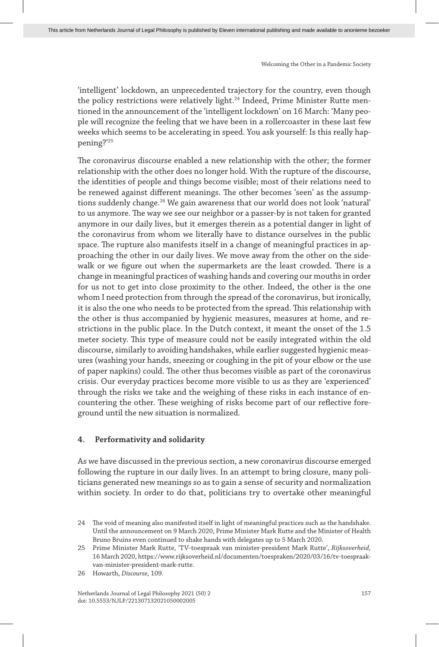'intelligent' lockdown, an unprecedented trajectory for the country, even though the policy restrictions were relatively light.24 Indeed, Prime Minister Rutte mentioned in the announcement of the 'intelligent lockdown' on 16 March: 'Many people will recognize the feeling that we have been in a rollercoaster in these last few weeks which seems to be accelerating in speed. You ask yourself: Is this really happening?'25

The coronavirus discourse enabled a new relationship with the other; the former relationship with the other does no longer hold. With the rupture of the discourse, the identities of people and things become visible; most of their relations need to be renewed against different meanings. The other becomes 'seen' as the assumptions suddenly change.<sup>26</sup> We gain awareness that our world does not look 'natural' to us anymore. The way we see our neighbor or a passer-by is not taken for granted anymore in our daily lives, but it emerges therein as a potential danger in light of the coronavirus from whom we literally have to distance ourselves in the public space. The rupture also manifests itself in a change of meaningful practices in approaching the other in our daily lives. We move away from the other on the sidewalk or we figure out when the supermarkets are the least crowded. There is a change in meaningful practices of washing hands and covering our mouths in order for us not to get into close proximity to the other. Indeed, the other is the one whom I need protection from through the spread of the coronavirus, but ironically, it is also the one who needs to be protected from the spread. This relationship with the other is thus accompanied by hygienic measures, measures at home, and restrictions in the public place. In the Dutch context, it meant the onset of the 1.5 meter society. This type of measure could not be easily integrated within the old discourse, similarly to avoiding handshakes, while earlier suggested hygienic measures (washing your hands, sneezing or coughing in the pit of your elbow or the use of paper napkins) could. The other thus becomes visible as part of the coronavirus crisis. Our everyday practices become more visible to us as they are 'experienced' through the risks we take and the weighing of these risks in each instance of encountering the other. These weighing of risks become part of our reflective foreground until the new situation is normalized.

#### **4. Performativity and solidarity**

As we have discussed in the previous section, a new coronavirus discourse emerged following the rupture in our daily lives. In an attempt to bring closure, many politicians generated new meanings so as to gain a sense of security and normalization within society. In order to do that, politicians try to overtake other meaningful

<sup>24</sup> The void of meaning also manifested itself in light of meaningful practices such as the handshake. Until the announcement on 9 March 2020, Prime Minister Mark Rutte and the Minister of Health Bruno Bruins even continued to shake hands with delegates up to 5 March 2020.

<sup>25</sup> Prime Minister Mark Rutte, 'TV-toespraak van minister-president Mark Rutte', *Rijksoverheid*, 16 March 2020, https://www.rijksoverheid.nl/documenten/toespraken/2020/03/16/tv-toespraakvan-minister-president-mark-rutte.

<sup>26</sup> Howarth, *Discourse*, 109.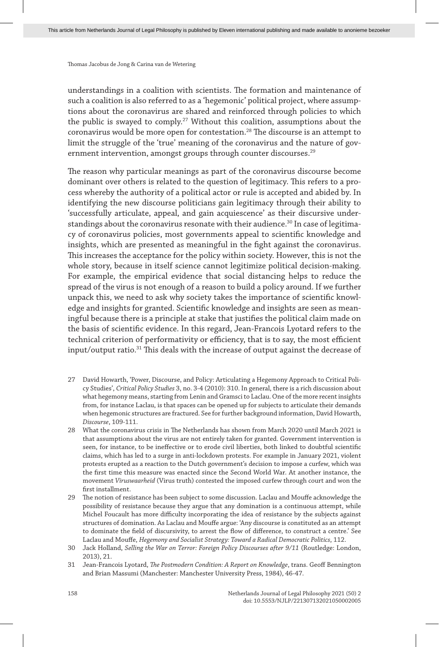understandings in a coalition with scientists. The formation and maintenance of such a coalition is also referred to as a 'hegemonic' political project, where assumptions about the coronavirus are shared and reinforced through policies to which the public is swayed to comply.<sup>27</sup> Without this coalition, assumptions about the coronavirus would be more open for contestation.28 The discourse is an attempt to limit the struggle of the 'true' meaning of the coronavirus and the nature of government intervention, amongst groups through counter discourses.<sup>29</sup>

The reason why particular meanings as part of the coronavirus discourse become dominant over others is related to the question of legitimacy. This refers to a process whereby the authority of a political actor or rule is accepted and abided by. In identifying the new discourse politicians gain legitimacy through their ability to 'successfully articulate, appeal, and gain acquiescence' as their discursive understandings about the coronavirus resonate with their audience.<sup>30</sup> In case of legitimacy of coronavirus policies, most governments appeal to scientific knowledge and insights, which are presented as meaningful in the fight against the coronavirus. This increases the acceptance for the policy within society. However, this is not the whole story, because in itself science cannot legitimize political decision-making. For example, the empirical evidence that social distancing helps to reduce the spread of the virus is not enough of a reason to build a policy around. If we further unpack this, we need to ask why society takes the importance of scientific knowledge and insights for granted. Scientific knowledge and insights are seen as meaningful because there is a principle at stake that justifies the political claim made on the basis of scientific evidence. In this regard, Jean-Francois Lyotard refers to the technical criterion of performativity or efficiency, that is to say, the most efficient input/output ratio.<sup>31</sup> This deals with the increase of output against the decrease of

- 27 David Howarth, 'Power, Discourse, and Policy: Articulating a Hegemony Approach to Critical Policy Studies', *Critical Policy Studies* 3, no. 3-4 (2010): 310. In general, there is a rich discussion about what hegemony means, starting from Lenin and Gramsci to Laclau. One of the more recent insights from, for instance Laclau, is that spaces can be opened up for subjects to articulate their demands when hegemonic structures are fractured. See for further background information, David Howarth, *Discourse*, 109-111.
- 28 What the coronavirus crisis in The Netherlands has shown from March 2020 until March 2021 is that assumptions about the virus are not entirely taken for granted. Government intervention is seen, for instance, to be ineffective or to erode civil liberties, both linked to doubtful scientific claims, which has led to a surge in anti-lockdown protests. For example in January 2021, violent protests erupted as a reaction to the Dutch government's decision to impose a curfew, which was the first time this measure was enacted since the Second World War. At another instance, the movement *Viruswaarheid* (Virus truth) contested the imposed curfew through court and won the first installment.
- 29 The notion of resistance has been subject to some discussion. Laclau and Mouffe acknowledge the possibility of resistance because they argue that any domination is a continuous attempt, while Michel Foucault has more difficulty incorporating the idea of resistance by the subjects against structures of domination. As Laclau and Mouffe argue: 'Any discourse is constituted as an attempt to dominate the field of discursivity, to arrest the flow of difference, to construct a centre.' See Laclau and Mouffe, *Hegemony and Socialist Strategy: Toward a Radical Democratic Politics*, 112.
- 30 Jack Holland, *Selling the War on Terror: Foreign Policy Discourses after 9/11* (Routledge: London, 2013), 21.
- 31 Jean-Francois Lyotard, *The Postmodern Condition: A Report on Knowledge*, trans. Geoff Bennington and Brian Massumi (Manchester: Manchester University Press, 1984), 46-47.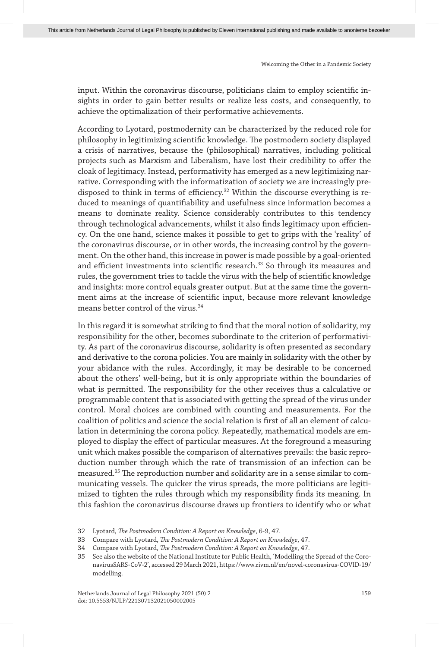input. Within the coronavirus discourse, politicians claim to employ scientific insights in order to gain better results or realize less costs, and consequently, to achieve the optimalization of their performative achievements.

According to Lyotard, postmodernity can be characterized by the reduced role for philosophy in legitimizing scientific knowledge. The postmodern society displayed a crisis of narratives, because the (philosophical) narratives, including political projects such as Marxism and Liberalism, have lost their credibility to offer the cloak of legitimacy. Instead, performativity has emerged as a new legitimizing narrative. Corresponding with the informatization of society we are increasingly predisposed to think in terms of efficiency.<sup>32</sup> Within the discourse everything is reduced to meanings of quantifiability and usefulness since information becomes a means to dominate reality. Science considerably contributes to this tendency through technological advancements, whilst it also finds legitimacy upon efficiency. On the one hand, science makes it possible to get to grips with the 'reality' of the coronavirus discourse, or in other words, the increasing control by the government. On the other hand, this increase in power is made possible by a goal-oriented and efficient investments into scientific research.<sup>33</sup> So through its measures and rules, the government tries to tackle the virus with the help of scientific knowledge and insights: more control equals greater output. But at the same time the government aims at the increase of scientific input, because more relevant knowledge means better control of the virus.34

In this regard it is somewhat striking to find that the moral notion of solidarity, my responsibility for the other, becomes subordinate to the criterion of performativity. As part of the coronavirus discourse, solidarity is often presented as secondary and derivative to the corona policies. You are mainly in solidarity with the other by your abidance with the rules. Accordingly, it may be desirable to be concerned about the others' well-being, but it is only appropriate within the boundaries of what is permitted. The responsibility for the other receives thus a calculative or programmable content that is associated with getting the spread of the virus under control. Moral choices are combined with counting and measurements. For the coalition of politics and science the social relation is first of all an element of calculation in determining the corona policy. Repeatedly, mathematical models are employed to display the effect of particular measures. At the foreground a measuring unit which makes possible the comparison of alternatives prevails: the basic reproduction number through which the rate of transmission of an infection can be measured.35 The reproduction number and solidarity are in a sense similar to communicating vessels. The quicker the virus spreads, the more politicians are legitimized to tighten the rules through which my responsibility finds its meaning. In this fashion the coronavirus discourse draws up frontiers to identify who or what

<sup>32</sup> Lyotard, *The Postmodern Condition: A Report on Knowledge*, 6-9, 47.

<sup>33</sup> Compare with Lyotard, *The Postmodern Condition: A Report on Knowledge*, 47.

<sup>34</sup> Compare with Lyotard, *The Postmodern Condition: A Report on Knowledge*, 47.

<sup>35</sup> See also the website of the National Institute for Public Health, 'Modelling the Spread of the CoronavirusSARS-CoV-2', accessed 29 March 2021, https://www.rivm.nl/en/novel-coronavirus-COVID-19/ modelling.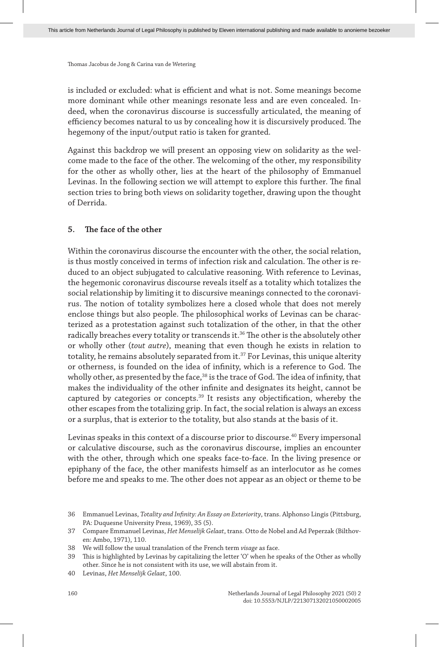is included or excluded: what is efficient and what is not. Some meanings become more dominant while other meanings resonate less and are even concealed. Indeed, when the coronavirus discourse is successfully articulated, the meaning of efficiency becomes natural to us by concealing how it is discursively produced. The hegemony of the input/output ratio is taken for granted.

Against this backdrop we will present an opposing view on solidarity as the welcome made to the face of the other. The welcoming of the other, my responsibility for the other as wholly other, lies at the heart of the philosophy of Emmanuel Levinas. In the following section we will attempt to explore this further. The final section tries to bring both views on solidarity together, drawing upon the thought of Derrida.

## **5. The face of the other**

Within the coronavirus discourse the encounter with the other, the social relation, is thus mostly conceived in terms of infection risk and calculation. The other is reduced to an object subjugated to calculative reasoning. With reference to Levinas, the hegemonic coronavirus discourse reveals itself as a totality which totalizes the social relationship by limiting it to discursive meanings connected to the coronavirus. The notion of totality symbolizes here a closed whole that does not merely enclose things but also people. The philosophical works of Levinas can be characterized as a protestation against such totalization of the other, in that the other radically breaches every totality or transcends it.<sup>36</sup> The other is the absolutely other or wholly other (*tout autre*), meaning that even though he exists in relation to totality, he remains absolutely separated from it.<sup>37</sup> For Levinas, this unique alterity or otherness, is founded on the idea of infinity, which is a reference to God. The wholly other, as presented by the face,<sup>38</sup> is the trace of God. The idea of infinity, that makes the individuality of the other infinite and designates its height, cannot be captured by categories or concepts. $39$  It resists any objectification, whereby the other escapes from the totalizing grip. In fact, the social relation is always an excess or a surplus, that is exterior to the totality, but also stands at the basis of it.

Levinas speaks in this context of a discourse prior to discourse.40 Every impersonal or calculative discourse, such as the coronavirus discourse, implies an encounter with the other, through which one speaks face-to-face. In the living presence or epiphany of the face, the other manifests himself as an interlocutor as he comes before me and speaks to me. The other does not appear as an object or theme to be

<sup>36</sup> Emmanuel Levinas, *Totality and Infinity: An Essay on Exteriority*, trans. Alphonso Lingis (Pittsburg, PA: Duquesne University Press, 1969), 35 (5).

<sup>37</sup> Compare Emmanuel Levinas, *Het Menselijk Gelaat*, trans. Otto de Nobel and Ad Peperzak (Bilthoven: Ambo, 1971), 110.

<sup>38</sup> We will follow the usual translation of the French term *visage* as face.

<sup>39</sup> This is highlighted by Levinas by capitalizing the letter 'O' when he speaks of the Other as wholly other. Since he is not consistent with its use, we will abstain from it.

<sup>40</sup> Levinas, *Het Menselijk Gelaat*, 100.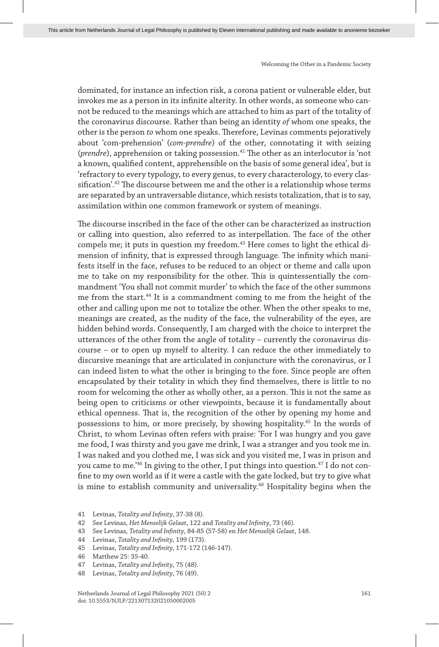dominated, for instance an infection risk, a corona patient or vulnerable elder, but invokes me as a person in its infinite alterity. In other words, as someone who cannot be reduced to the meanings which are attached to him as part of the totality of the coronavirus discourse. Rather than being an identity *of* whom one speaks, the other is the person *to* whom one speaks. Therefore, Levinas comments pejoratively about 'com-prehension' (*com-prendre*) of the other, connotating it with seizing (*prendre*), apprehension or taking possession.41 The other as an interlocutor is 'not a known, qualified content, apprehensible on the basis of some general idea', but is 'refractory to every typology, to every genus, to every characterology, to every classification'.42 The discourse between me and the other is a relationship whose terms are separated by an untraversable distance, which resists totalization, that is to say, assimilation within one common framework or system of meanings.

The discourse inscribed in the face of the other can be characterized as instruction or calling into question, also referred to as interpellation. The face of the other compels me; it puts in question my freedom.<sup>43</sup> Here comes to light the ethical dimension of infinity, that is expressed through language. The infinity which manifests itself in the face, refuses to be reduced to an object or theme and calls upon me to take on my responsibility for the other. This is quintessentially the commandment 'You shall not commit murder' to which the face of the other summons me from the start.<sup>44</sup> It is a commandment coming to me from the height of the other and calling upon me not to totalize the other. When the other speaks to me, meanings are created, as the nudity of the face, the vulnerability of the eyes, are hidden behind words. Consequently, I am charged with the choice to interpret the utterances of the other from the angle of totality – currently the coronavirus discourse – or to open up myself to alterity. I can reduce the other immediately to discursive meanings that are articulated in conjuncture with the coronavirus, or I can indeed listen to what the other is bringing to the fore. Since people are often encapsulated by their totality in which they find themselves, there is little to no room for welcoming the other as wholly other, as a person. This is not the same as being open to criticisms or other viewpoints, because it is fundamentally about ethical openness. That is, the recognition of the other by opening my home and possessions to him, or more precisely, by showing hospitality.45 In the words of Christ, to whom Levinas often refers with praise: 'For I was hungry and you gave me food, I was thirsty and you gave me drink, I was a stranger and you took me in. I was naked and you clothed me, I was sick and you visited me, I was in prison and you came to me.<sup>'46</sup> In giving to the other, I put things into question.<sup>47</sup> I do not confine to my own world as if it were a castle with the gate locked, but try to give what is mine to establish community and universality.<sup>48</sup> Hospitality begins when the

- 42 See Levinas, *Het Menselijk Gelaat*, 122 and *Totality and Infinity*, 73 (46).
- 43 See Levinas, *Totality and Infinity*, 84-85 (57-58) en *Het Menselijk Gelaat*, 148.
- 44 Levinas, *Totality and Infinity*, 199 (173).
- 45 Levinas, *Totality and Infinity*, 171-172 (146-147).
- 46 Matthew 25: 35-40.
- 47 Levinas, *Totality and Infinity*, 75 (48).
- 48 Levinas, *Totality and Infinity*, 76 (49).

<sup>41</sup> Levinas, *Totality and Infinity*, 37-38 (8).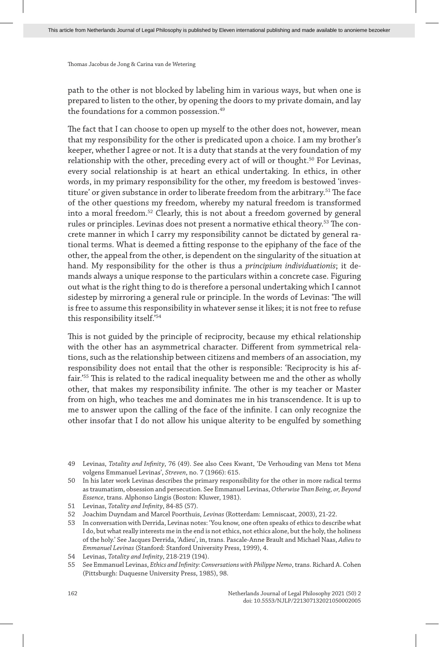path to the other is not blocked by labeling him in various ways, but when one is prepared to listen to the other, by opening the doors to my private domain, and lay the foundations for a common possession.<sup>49</sup>

The fact that I can choose to open up myself to the other does not, however, mean that my responsibility for the other is predicated upon a choice. I am my brother's keeper, whether I agree or not. It is a duty that stands at the very foundation of my relationship with the other, preceding every act of will or thought.<sup>50</sup> For Levinas, every social relationship is at heart an ethical undertaking. In ethics, in other words, in my primary responsibility for the other, my freedom is bestowed 'investiture' or given substance in order to liberate freedom from the arbitrary.<sup>51</sup> The face of the other questions my freedom, whereby my natural freedom is transformed into a moral freedom.52 Clearly, this is not about a freedom governed by general rules or principles. Levinas does not present a normative ethical theory.<sup>53</sup> The concrete manner in which I carry my responsibility cannot be dictated by general rational terms. What is deemed a fitting response to the epiphany of the face of the other, the appeal from the other, is dependent on the singularity of the situation at hand. My responsibility for the other is thus a *principium individuationis*; it demands always a unique response to the particulars within a concrete case. Figuring out what is the right thing to do is therefore a personal undertaking which I cannot sidestep by mirroring a general rule or principle. In the words of Levinas: 'The will is free to assume this responsibility in whatever sense it likes; it is not free to refuse this responsibility itself.'54

This is not guided by the principle of reciprocity, because my ethical relationship with the other has an asymmetrical character. Different from symmetrical relations, such as the relationship between citizens and members of an association, my responsibility does not entail that the other is responsible: 'Reciprocity is his affair.'55 This is related to the radical inequality between me and the other as wholly other, that makes my responsibility infinite. The other is my teacher or Master from on high, who teaches me and dominates me in his transcendence. It is up to me to answer upon the calling of the face of the infinite. I can only recognize the other insofar that I do not allow his unique alterity to be engulfed by something

<sup>49</sup> Levinas, *Totality and Infinity*, 76 (49). See also Cees Kwant, 'De Verhouding van Mens tot Mens volgens Emmanuel Levinas', *Streven*, no. 7 (1966): 615.

<sup>50</sup> In his later work Levinas describes the primary responsibility for the other in more radical terms as traumatism, obsession and persecution. See Emmanuel Levinas, *Otherwise Than Being, or, Beyond Essence*, trans. Alphonso Lingis (Boston: Kluwer, 1981).

<sup>51</sup> Levinas, *Totality and Infinity*, 84-85 (57).

<sup>52</sup> Joachim Duyndam and Marcel Poorthuis, *Levinas* (Rotterdam: Lemniscaat, 2003), 21-22.

<sup>53</sup> In conversation with Derrida, Levinas notes: 'You know, one often speaks of ethics to describe what I do, but what really interests me in the end is not ethics, not ethics alone, but the holy, the holiness of the holy.' See Jacques Derrida, 'Adieu', in, trans. Pascale-Anne Brault and Michael Naas, *Adieu to Emmanuel Levinas* (Stanford: Stanford University Press, 1999), 4.

<sup>54</sup> Levinas, *Totality and Infinity*, 218-219 (194).

<sup>55</sup> See Emmanuel Levinas, *Ethics and Infinity: Conversations with Philippe Nemo*, trans. Richard A. Cohen (Pittsburgh: Duquesne University Press, 1985), 98.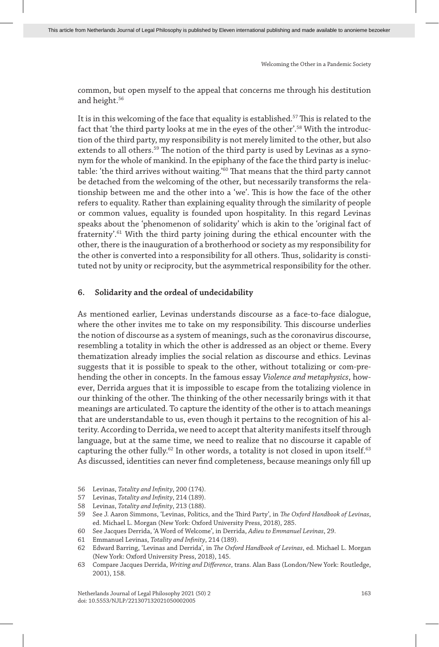common, but open myself to the appeal that concerns me through his destitution and height.<sup>56</sup>

It is in this welcoming of the face that equality is established.57 This is related to the fact that 'the third party looks at me in the eyes of the other'.58 With the introduction of the third party, my responsibility is not merely limited to the other, but also extends to all others.<sup>59</sup> The notion of the third party is used by Levinas as a synonym for the whole of mankind. In the epiphany of the face the third party is ineluctable: 'the third arrives without waiting.'60 That means that the third party cannot be detached from the welcoming of the other, but necessarily transforms the relationship between me and the other into a 'we'. This is how the face of the other refers to equality. Rather than explaining equality through the similarity of people or common values, equality is founded upon hospitality. In this regard Levinas speaks about the 'phenomenon of solidarity' which is akin to the 'original fact of fraternity'.61 With the third party joining during the ethical encounter with the other, there is the inauguration of a brotherhood or society as my responsibility for the other is converted into a responsibility for all others. Thus, solidarity is constituted not by unity or reciprocity, but the asymmetrical responsibility for the other.

#### **6. Solidarity and the ordeal of undecidability**

As mentioned earlier, Levinas understands discourse as a face-to-face dialogue, where the other invites me to take on my responsibility. This discourse underlies the notion of discourse as a system of meanings, such as the coronavirus discourse, resembling a totality in which the other is addressed as an object or theme. Every thematization already implies the social relation as discourse and ethics. Levinas suggests that it is possible to speak to the other, without totalizing or com-prehending the other in concepts. In the famous essay *Violence and metaphysics*, however, Derrida argues that it is impossible to escape from the totalizing violence in our thinking of the other. The thinking of the other necessarily brings with it that meanings are articulated. To capture the identity of the other is to attach meanings that are understandable to us, even though it pertains to the recognition of his alterity. According to Derrida, we need to accept that alterity manifests itself through language, but at the same time, we need to realize that no discourse it capable of capturing the other fully.<sup>62</sup> In other words, a totality is not closed in upon itself.<sup>63</sup> As discussed, identities can never find completeness, because meanings only fill up

- 56 Levinas, *Totality and Infinity*, 200 (174).
- 57 Levinas, *Totality and Infinity*, 214 (189).
- 58 Levinas, *Totality and Infinity*, 213 (188).
- 59 See J. Aaron Simmons, 'Levinas, Politics, and the Third Party', in *The Oxford Handbook of Levinas*, ed. Michael L. Morgan (New York: Oxford University Press, 2018), 285.
- 60 See Jacques Derrida, 'A Word of Welcome', in Derrida, *Adieu to Emmanuel Levinas*, 29.
- 61 Emmanuel Levinas, *Totality and Infinity*, 214 (189).
- 62 Edward Barring, 'Levinas and Derrida', in *The Oxford Handbook of Levinas*, ed. Michael L. Morgan (New York: Oxford University Press, 2018), 145.
- 63 Compare Jacques Derrida, *Writing and Difference*, trans. Alan Bass (London/New York: Routledge, 2001), 158.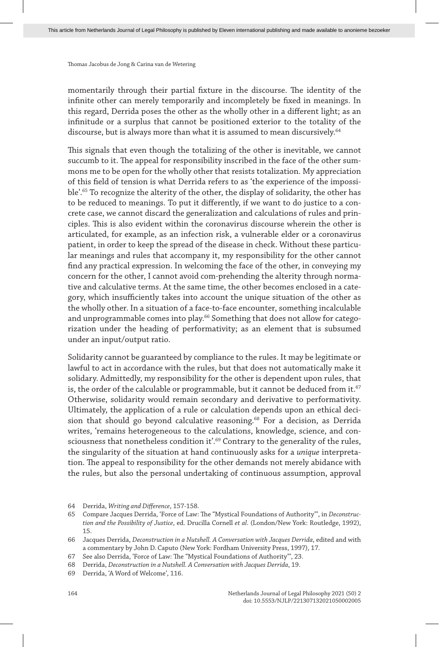momentarily through their partial fixture in the discourse. The identity of the infinite other can merely temporarily and incompletely be fixed in meanings. In this regard, Derrida poses the other as the wholly other in a different light; as an infinitude or a surplus that cannot be positioned exterior to the totality of the discourse, but is always more than what it is assumed to mean discursively.<sup>64</sup>

This signals that even though the totalizing of the other is inevitable, we cannot succumb to it. The appeal for responsibility inscribed in the face of the other summons me to be open for the wholly other that resists totalization. My appreciation of this field of tension is what Derrida refers to as 'the experience of the impossible'.<sup>65</sup> To recognize the alterity of the other, the display of solidarity, the other has to be reduced to meanings. To put it differently, if we want to do justice to a concrete case, we cannot discard the generalization and calculations of rules and principles. This is also evident within the coronavirus discourse wherein the other is articulated, for example, as an infection risk, a vulnerable elder or a coronavirus patient, in order to keep the spread of the disease in check. Without these particular meanings and rules that accompany it, my responsibility for the other cannot find any practical expression. In welcoming the face of the other, in conveying my concern for the other, I cannot avoid com-prehending the alterity through normative and calculative terms. At the same time, the other becomes enclosed in a category, which insufficiently takes into account the unique situation of the other as the wholly other. In a situation of a face-to-face encounter, something incalculable and unprogrammable comes into play.<sup>66</sup> Something that does not allow for categorization under the heading of performativity; as an element that is subsumed under an input/output ratio.

Solidarity cannot be guaranteed by compliance to the rules. It may be legitimate or lawful to act in accordance with the rules, but that does not automatically make it solidary. Admittedly, my responsibility for the other is dependent upon rules, that is, the order of the calculable or programmable, but it cannot be deduced from it.<sup>67</sup> Otherwise, solidarity would remain secondary and derivative to performativity. Ultimately, the application of a rule or calculation depends upon an ethical decision that should go beyond calculative reasoning.<sup>68</sup> For a decision, as Derrida writes, 'remains heterogeneous to the calculations, knowledge, science, and consciousness that nonetheless condition it'.<sup>69</sup> Contrary to the generality of the rules, the singularity of the situation at hand continuously asks for a *unique* interpretation. The appeal to responsibility for the other demands not merely abidance with the rules, but also the personal undertaking of continuous assumption, approval

<sup>64</sup> Derrida, *Writing and Difference*, 157-158.

<sup>65</sup> Compare Jacques Derrida, 'Force of Law: The "Mystical Foundations of Authority"', in *Deconstruction and the Possibility of Justice*, ed. Drucilla Cornell *et al*. (London/New York: Routledge, 1992), 15.

<sup>66</sup> Jacques Derrida, *Deconstruction in a Nutshell. A Conversation with Jacques Derrida*, edited and with a commentary by John D. Caputo (New York: Fordham University Press, 1997), 17.

<sup>67</sup> See also Derrida, 'Force of Law: The "Mystical Foundations of Authority"', 23.

<sup>68</sup> Derrida, *Deconstruction in a Nutshell. A Conversation with Jacques Derrida*, 19.

<sup>69</sup> Derrida, 'A Word of Welcome', 116.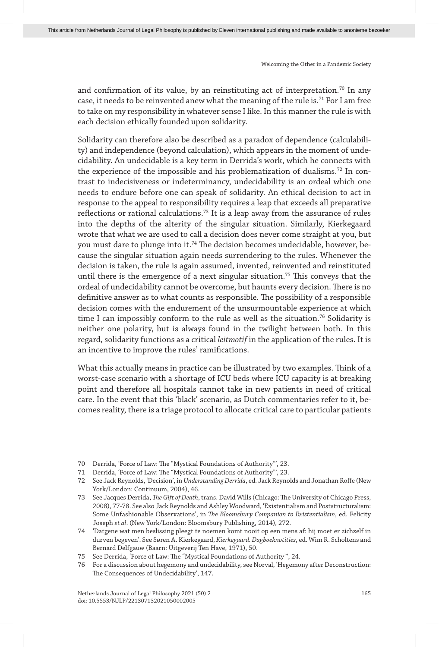and confirmation of its value, by an reinstituting act of interpretation.<sup>70</sup> In any case, it needs to be reinvented anew what the meaning of the rule is.71 For I am free to take on my responsibility in whatever sense I like. In this manner the rule is with each decision ethically founded upon solidarity.

Solidarity can therefore also be described as a paradox of dependence (calculability) and independence (beyond calculation), which appears in the moment of undecidability. An undecidable is a key term in Derrida's work, which he connects with the experience of the impossible and his problematization of dualisms.<sup>72</sup> In contrast to indecisiveness or indeterminancy, undecidability is an ordeal which one needs to endure before one can speak of solidarity. An ethical decision to act in response to the appeal to responsibility requires a leap that exceeds all preparative reflections or rational calculations.<sup>73</sup> It is a leap away from the assurance of rules into the depths of the alterity of the singular situation. Similarly, Kierkegaard wrote that what we are used to call a decision does never come straight at you, but you must dare to plunge into it.74 The decision becomes undecidable, however, because the singular situation again needs surrendering to the rules. Whenever the decision is taken, the rule is again assumed, invented, reinvented and reinstituted until there is the emergence of a next singular situation.<sup>75</sup> This conveys that the ordeal of undecidability cannot be overcome, but haunts every decision. There is no definitive answer as to what counts as responsible. The possibility of a responsible decision comes with the endurement of the unsurmountable experience at which time I can impossibly conform to the rule as well as the situation.<sup>76</sup> Solidarity is neither one polarity, but is always found in the twilight between both. In this regard, solidarity functions as a critical *leitmotif* in the application of the rules. It is an incentive to improve the rules' ramifications.

What this actually means in practice can be illustrated by two examples. Think of a worst-case scenario with a shortage of ICU beds where ICU capacity is at breaking point and therefore all hospitals cannot take in new patients in need of critical care. In the event that this 'black' scenario, as Dutch commentaries refer to it, becomes reality, there is a triage protocol to allocate critical care to particular patients

- 70 Derrida, 'Force of Law: The "Mystical Foundations of Authority"', 23.
- 71 Derrida, 'Force of Law: The "Mystical Foundations of Authority"', 23.
- 72 See Jack Reynolds, 'Decision', in *Understanding Derrida*, ed. Jack Reynolds and Jonathan Roffe (New York/London: Continuum, 2004), 46.
- 73 See Jacques Derrida, *The Gift of Death*, trans. David Wills (Chicago: The University of Chicago Press, 2008), 77-78. See also Jack Reynolds and Ashley Woodward, 'Existentialism and Poststructuralism: Some Unfashionable Observations', in *The Bloomsbury Companion to Existentialism*, ed. Felicity Joseph *et al*. (New York/London: Bloomsbury Publishing, 2014), 272.
- 74 'Datgene wat men beslissing pleegt te noemen komt nooit op een mens af: hij moet er zichzelf in durven begeven'. See Søren A. Kierkegaard, *Kierkegaard. Dagboeknotities*, ed. Wim R. Scholtens and Bernard Delfgauw (Baarn: Uitgeverij Ten Have, 1971), 50.
- 75 See Derrida, 'Force of Law: The "Mystical Foundations of Authority"', 24.
- 76 For a discussion about hegemony and undecidability, see Norval, 'Hegemony after Deconstruction: The Consequences of Undecidability', 147.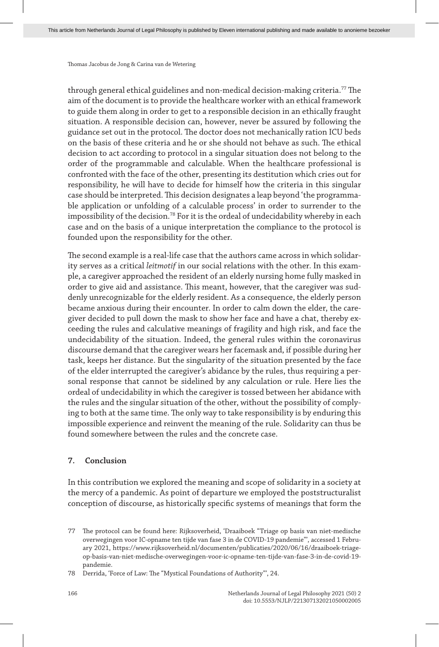through general ethical guidelines and non-medical decision-making criteria.<sup>77</sup> The aim of the document is to provide the healthcare worker with an ethical framework to guide them along in order to get to a responsible decision in an ethically fraught situation. A responsible decision can, however, never be assured by following the guidance set out in the protocol. The doctor does not mechanically ration ICU beds on the basis of these criteria and he or she should not behave as such. The ethical decision to act according to protocol in a singular situation does not belong to the order of the programmable and calculable. When the healthcare professional is confronted with the face of the other, presenting its destitution which cries out for responsibility, he will have to decide for himself how the criteria in this singular case should be interpreted. This decision designates a leap beyond 'the programmable application or unfolding of a calculable process' in order to surrender to the impossibility of the decision.<sup>78</sup> For it is the ordeal of undecidability whereby in each case and on the basis of a unique interpretation the compliance to the protocol is founded upon the responsibility for the other.

The second example is a real-life case that the authors came across in which solidarity serves as a critical *leitmotif* in our social relations with the other. In this example, a caregiver approached the resident of an elderly nursing home fully masked in order to give aid and assistance. This meant, however, that the caregiver was suddenly unrecognizable for the elderly resident. As a consequence, the elderly person became anxious during their encounter. In order to calm down the elder, the caregiver decided to pull down the mask to show her face and have a chat, thereby exceeding the rules and calculative meanings of fragility and high risk, and face the undecidability of the situation. Indeed, the general rules within the coronavirus discourse demand that the caregiver wears her facemask and, if possible during her task, keeps her distance. But the singularity of the situation presented by the face of the elder interrupted the caregiver's abidance by the rules, thus requiring a personal response that cannot be sidelined by any calculation or rule. Here lies the ordeal of undecidability in which the caregiver is tossed between her abidance with the rules and the singular situation of the other, without the possibility of complying to both at the same time. The only way to take responsibility is by enduring this impossible experience and reinvent the meaning of the rule. Solidarity can thus be found somewhere between the rules and the concrete case.

#### **7. Conclusion**

In this contribution we explored the meaning and scope of solidarity in a society at the mercy of a pandemic. As point of departure we employed the poststructuralist conception of discourse, as historically specific systems of meanings that form the

<sup>77</sup> The protocol can be found here: Rijksoverheid, 'Draaiboek "Triage op basis van niet-medische overwegingen voor IC-opname ten tijde van fase 3 in de COVID-19 pandemie"', accessed 1 February 2021, https://www.rijksoverheid.nl/documenten/publicaties/2020/06/16/draaiboek-triageop-basis-van-niet-medische-overwegingen-voor-ic-opname-ten-tijde-van-fase-3-in-de-covid-19 pandemie.

<sup>78</sup> Derrida, 'Force of Law: The "Mystical Foundations of Authority"', 24.